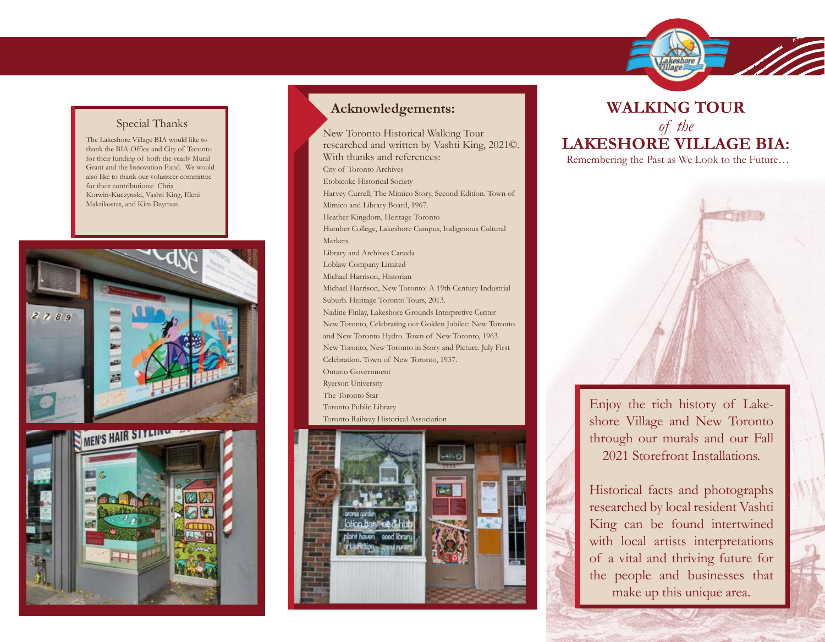

## Special Thanks

The Lakeshore Village BIA would like to thank the BIA Office and City of Toronto for their funding of both the yearly Mural Grant and the Innovation Fund. We would also like to thank our volunteer committee for their contributions: Chris Korwin-Kuczynski, Vashti King, Eleni Makrikostas, and Kim Dayman.





## **Acknowledgements:**

New Toronto Historical Walking Tour researched and written by Vashti King, 2021©. With thanks and references: City of Toronto Archives Etobicoke Historical Society Harvey Currell, The Mimico Story, Second Edition. Town of Mimico and Library Board, 1967. Heather Kingdom, Heritage Toronto Humber College, Lakeshore Campus, Indigenous Cultural Markers Library and Archives Canada Loblaw Company Limited Michael Harrison, Historian Michael Harrison, New Toronto: A 19th Century Industrial Suburb. Heritage Toronto Tours, 2013. Nadine Finlay, Lakeshore Grounds Interpretive Center New Toronto, Celebrating our Golden Jubilee: New Toronto and New Toronto Hydro. Town of New Toronto, 1963. New Toronto, New Toronto in Story and Picture. July First Celebration. Town of New Toronto, 1937. Ontario Government Ryerson University The Toronto Star Toronto Public Library Toronto Railway Historical Association



## **WALKING TOUR**  *of the* **LAKESHORE VILLAGE BIA:**  Remembering the Past as We Look to the Future…



Enjoy the rich history of Lakeshore Village and New Toronto through our murals and our Fall 2021 Storefront Installations.

Historical facts and photographs researched by local resident Vashti King can be found intertwined with local artists interpretations of a vital and thriving future for the people and businesses that make up this unique area.